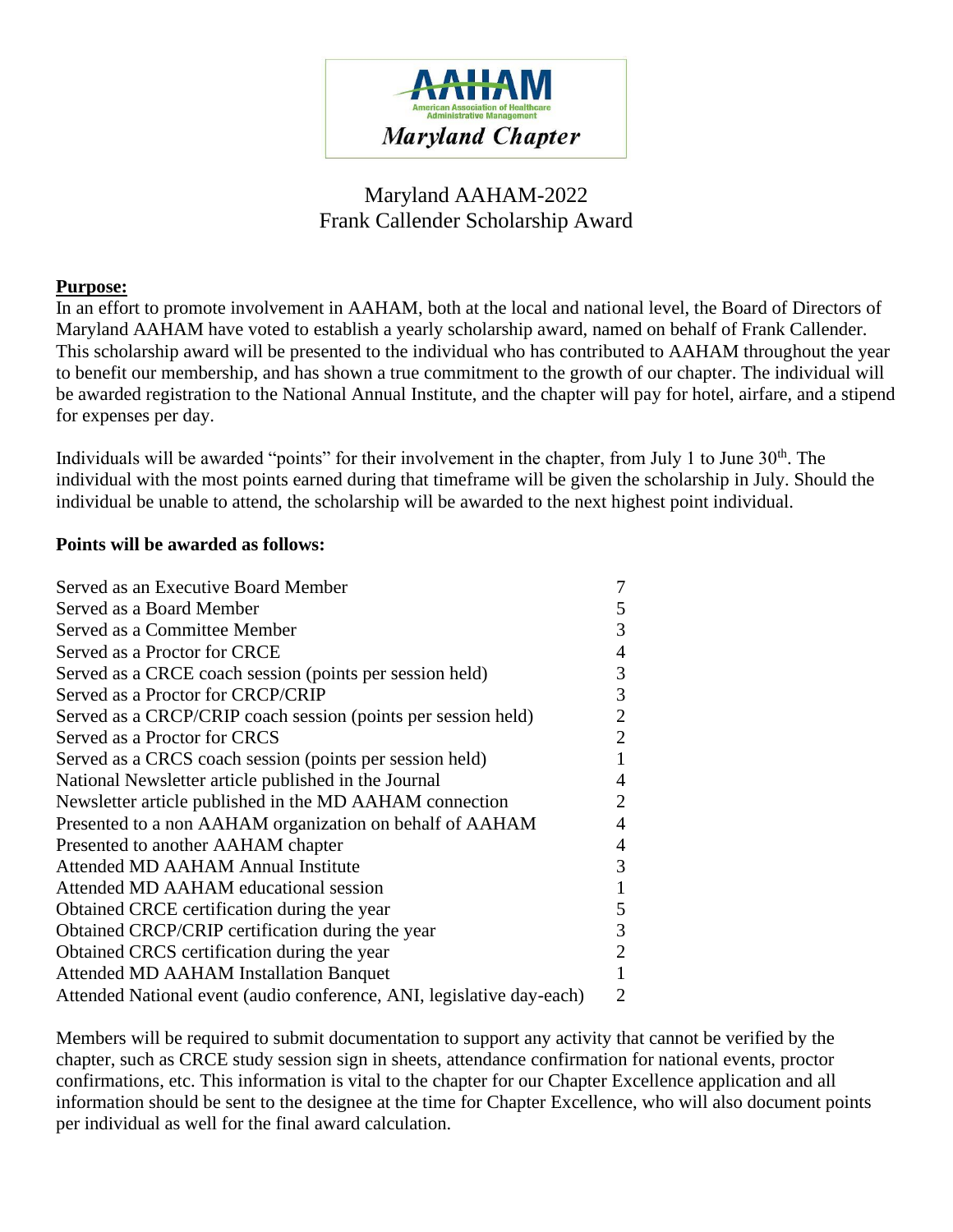

## Maryland AAHAM-2022 Frank Callender Scholarship Award

## **Purpose:**

In an effort to promote involvement in AAHAM, both at the local and national level, the Board of Directors of Maryland AAHAM have voted to establish a yearly scholarship award, named on behalf of Frank Callender. This scholarship award will be presented to the individual who has contributed to AAHAM throughout the year to benefit our membership, and has shown a true commitment to the growth of our chapter. The individual will be awarded registration to the National Annual Institute, and the chapter will pay for hotel, airfare, and a stipend for expenses per day.

Individuals will be awarded "points" for their involvement in the chapter, from July 1 to June  $30<sup>th</sup>$ . The individual with the most points earned during that timeframe will be given the scholarship in July. Should the individual be unable to attend, the scholarship will be awarded to the next highest point individual.

## **Points will be awarded as follows:**

| Served as an Executive Board Member                                   |                |
|-----------------------------------------------------------------------|----------------|
| Served as a Board Member                                              | 5              |
| Served as a Committee Member                                          | 3              |
| Served as a Proctor for CRCE                                          | 4              |
| Served as a CRCE coach session (points per session held)              | 3              |
| Served as a Proctor for CRCP/CRIP                                     | 3              |
| Served as a CRCP/CRIP coach session (points per session held)         | 2              |
| Served as a Proctor for CRCS                                          | $\overline{2}$ |
| Served as a CRCS coach session (points per session held)              |                |
| National Newsletter article published in the Journal                  |                |
| Newsletter article published in the MD AAHAM connection               | 2              |
| Presented to a non AAHAM organization on behalf of AAHAM              | 4              |
| Presented to another AAHAM chapter                                    | 4              |
| Attended MD AAHAM Annual Institute                                    | 3              |
| Attended MD AAHAM educational session                                 |                |
| Obtained CRCE certification during the year                           | 5              |
| Obtained CRCP/CRIP certification during the year                      | 3              |
| Obtained CRCS certification during the year                           | 2              |
| <b>Attended MD AAHAM Installation Banquet</b>                         |                |
| Attended National event (audio conference, ANI, legislative day-each) | 2              |

Members will be required to submit documentation to support any activity that cannot be verified by the chapter, such as CRCE study session sign in sheets, attendance confirmation for national events, proctor confirmations, etc. This information is vital to the chapter for our Chapter Excellence application and all information should be sent to the designee at the time for Chapter Excellence, who will also document points per individual as well for the final award calculation.